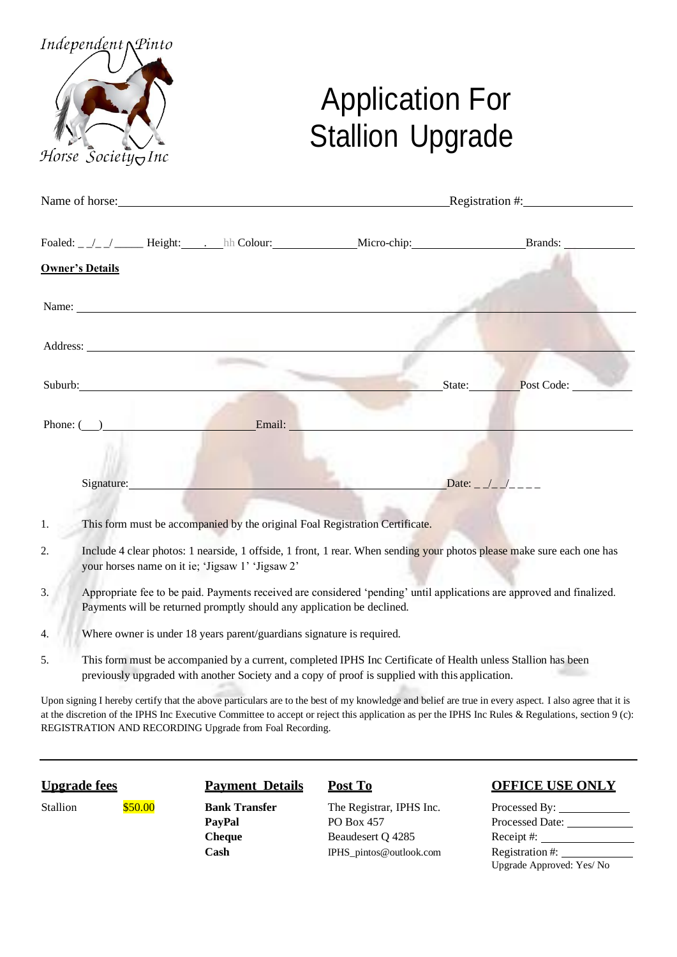

## Application For Stallion Upgrade

|    |                                                                                                                                                                                                                               | Name of horse: Registration #: |  |  |  |  |
|----|-------------------------------------------------------------------------------------------------------------------------------------------------------------------------------------------------------------------------------|--------------------------------|--|--|--|--|
|    | Foaled: _ /_ / _____ Height: _____ hh Colour: ___________________________________                                                                                                                                             | Brands:                        |  |  |  |  |
|    | <b>Owner's Details</b>                                                                                                                                                                                                        |                                |  |  |  |  |
|    | Name:                                                                                                                                                                                                                         |                                |  |  |  |  |
|    | Address: <u>Note</u>                                                                                                                                                                                                          |                                |  |  |  |  |
|    | Suburb: The Subset of the Subset of the Subset of the Subset of the Subset of the Subset of the Subset of the Subset of the Subset of the Subset of the Subset of the Subset of the Subset of the Subset of the Subset of the | State: Post Code:              |  |  |  |  |
|    | Phone: ( ) Email: Email:                                                                                                                                                                                                      |                                |  |  |  |  |
|    | Signature:                                                                                                                                                                                                                    |                                |  |  |  |  |
| 1. | This form must be accompanied by the original Foal Registration Certificate.                                                                                                                                                  |                                |  |  |  |  |
| 2. | Include 4 clear photos: 1 nearside, 1 offside, 1 front, 1 rear. When sending your photos please make sure each one has<br>your horses name on it ie; 'Jigsaw 1' 'Jigsaw 2'                                                    |                                |  |  |  |  |
| 3. | Appropriate fee to be paid. Payments received are considered 'pending' until applications are approved and finalized.<br>Payments will be returned promptly should any application be declined.                               |                                |  |  |  |  |
| 4. | Where owner is under 18 years parent/guardians signature is required.                                                                                                                                                         |                                |  |  |  |  |
| 5. | This form must be accompanied by a current, completed IPHS Inc Certificate of Health unless Stallion has been                                                                                                                 |                                |  |  |  |  |

previously upgraded with another Society and a copy of proof is supplied with this application.

Upon signing I hereby certify that the above particulars are to the best of my knowledge and belief are true in every aspect. I also agree that it is at the discretion of the IPHS Inc Executive Committee to accept or reject this application as per the IPHS Inc Rules & Regulations, section 9 (c): REGISTRATION AND RECORDING Upgrade from Foal Recording.

Stallion **\$50.00 Bank Transfer** The Registrar, IPHS Inc. Processed By: PayPal PO Box 457 Processed Date: **Cheque** Beaudesert Q 4285 Receipt #: Cash [IPHS\\_pintos@outlook.com](mailto:IPHS_pintos@outlook.com) Registration #:

## **Upgrade fees Payment Details Post To OFFICE USE ONLY**

Upgrade Approved: Yes/ No